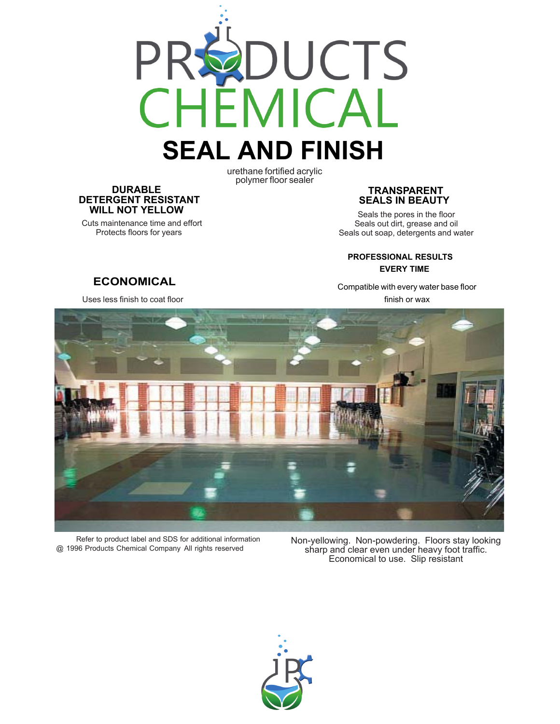

# **SEAL AND FINISH**

urethane fortified acrylic polymer floor sealer

#### **DURABLE DETERGENT RESISTANT WILL NOT YELLOW**

 Cuts maintenance time and effort Protects floors for years

#### **TRANSPARENT SEALS IN BEAUTY**

 Seals the pores in the floor Seals out dirt, grease and oil Seals out soap, detergents and water

#### **PROFESSIONAL RESULTS EVERY TIME**

Compatible with every water base floor finish or wax



Refer to product label and SDS for additional information @ 1996 Products Chemical Company All rights reserved

Non-yellowing. Non-powdering. Floors stay looking sharp and clear even under heavy foot traffic. Economical to use. Slip resistant



#### **ECONOMICAL** Uses less finish to coat floor